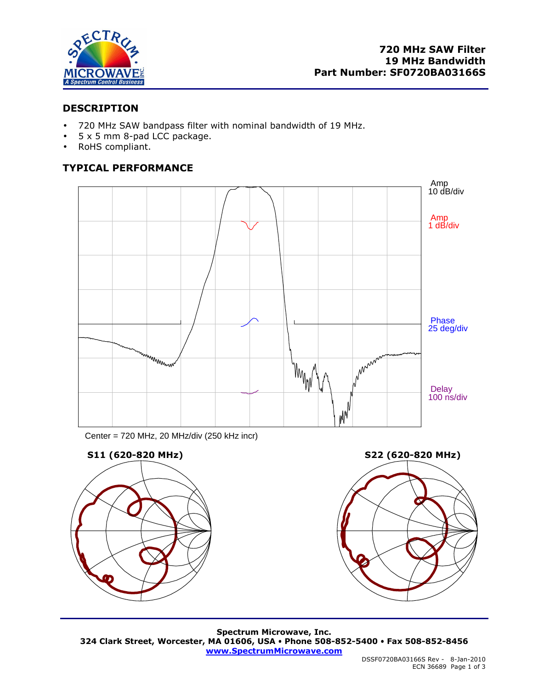

# **DESCRIPTION**

- 720 MHz SAW bandpass filter with nominal bandwidth of 19 MHz.
- 5 x 5 mm 8-pad LCC package.
- RoHS compliant.

# **TYPICAL PERFORMANCE**



Center = 720 MHz, 20 MHz/div (250 kHz incr)



**Spectrum Microwave, Inc. 324 Clark Street, Worcester, MA 01606, USA Phone 508-852-5400 Fax 508-852-8456 www.SpectrumMicrowave.com**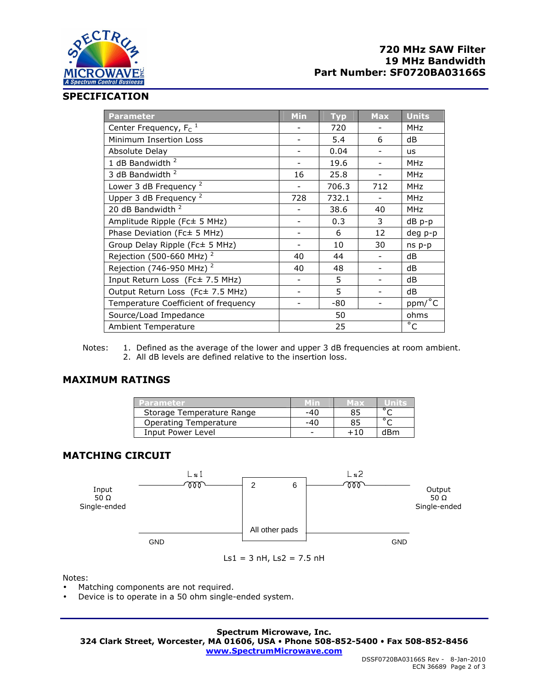

## **SPECIFICATION**

| <b>Parameter</b>                     | Min | <b>Typ</b> | <b>Max</b> | <b>Units</b> |
|--------------------------------------|-----|------------|------------|--------------|
| Center Frequency, $F_c$ <sup>1</sup> |     | 720        |            | <b>MHz</b>   |
| Minimum Insertion Loss               |     | 5.4        | 6          | dB           |
| Absolute Delay                       |     | 0.04       |            | <b>us</b>    |
| 1 dB Bandwidth <sup>2</sup>          |     | 19.6       |            | <b>MHz</b>   |
| 3 dB Bandwidth 2                     | 16  | 25.8       |            | <b>MHz</b>   |
| Lower 3 dB Frequency <sup>2</sup>    |     | 706.3      | 712        | <b>MHz</b>   |
| Upper 3 dB Frequency <sup>2</sup>    | 728 | 732.1      |            | <b>MHz</b>   |
| 20 dB Bandwidth <sup>2</sup>         |     | 38.6       | 40         | <b>MHz</b>   |
| Amplitude Ripple (Fc± 5 MHz)         |     | 0.3        | 3          | $dB$ $p-p$   |
| Phase Deviation (Fc± 5 MHz)          |     | 6          | 12         | deg p-p      |
| Group Delay Ripple (Fc± 5 MHz)       |     | 10         | 30         | ns p-p       |
| Rejection (500-660 MHz) <sup>2</sup> | 40  | 44         |            | dB           |
| Rejection (746-950 MHz) <sup>2</sup> | 40  | 48         |            | dB           |
| Input Return Loss (Fc± 7.5 MHz)      |     | 5          |            | dB           |
| Output Return Loss (Fc± 7.5 MHz)     |     | 5          |            | dB           |
| Temperature Coefficient of frequency |     | -80        |            | ppm/°C       |
| Source/Load Impedance                | 50  |            |            | ohms         |
| <b>Ambient Temperature</b>           | 25  |            |            | $^{\circ}$ C |

Notes: 1. Defined as the average of the lower and upper 3 dB frequencies at room ambient. 2. All dB levels are defined relative to the insertion loss.

## **MAXIMUM RATINGS**

| Parameter                 |     | MED3 |                |
|---------------------------|-----|------|----------------|
| Storage Temperature Range | -40 |      |                |
| Operating Temperature     | -40 |      | $\circ$ $\sim$ |
| Input Power Level         | -   |      | dRm            |

# **MATCHING CIRCUIT**



Notes:

- Matching components are not required.
- Device is to operate in a 50 ohm single-ended system.